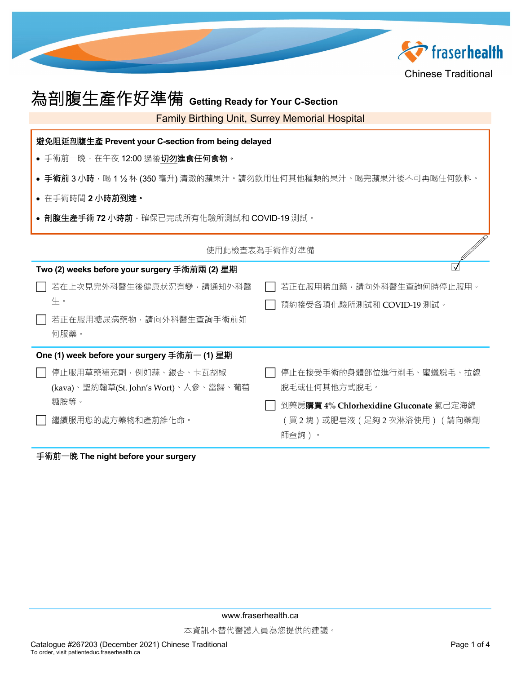

| 為剖腹生產作好準備 Getting Ready for Your C-Section                                 |                                        |  |  |  |  |
|----------------------------------------------------------------------------|----------------------------------------|--|--|--|--|
| <b>Family Birthing Unit, Surrey Memorial Hospital</b>                      |                                        |  |  |  |  |
| 避免阻延剖腹生產 Prevent your C-section from being delayed                         |                                        |  |  |  |  |
| • 手術前一晚,在午夜 12:00 過後切勿進食任何食物。                                              |                                        |  |  |  |  |
| ● 手 <b>術前 3 小時</b> · 喝 1 ½ 杯 (350 毫升) 清澈的蘋果汁。請勿飲用任何其他種類的果汁。喝完蘋果汁後不可再喝任何飲料。 |                                        |  |  |  |  |
| • 在手術時間2小時前到達。                                                             |                                        |  |  |  |  |
| ● 剖腹生產手術 72 小時前・確保已完成所有化驗所測試和 COVID-19 測試。                                 |                                        |  |  |  |  |
| 使用此檢查表為手術作好準備                                                              |                                        |  |  |  |  |
| Two (2) weeks before your surgery 手術前兩 (2) 星期                              |                                        |  |  |  |  |
| 若在上次見完外科醫生後健康狀況有變,請通知外科醫                                                   | 若正在服用稀血藥,請向外科醫生查詢何時停止服用。               |  |  |  |  |
| 生。                                                                         | 預約接受各項化驗所測試和 COVID-19 測試。              |  |  |  |  |
| 若正在服用糖尿病藥物,請向外科醫生查詢手術前如                                                    |                                        |  |  |  |  |
| 何服藥。                                                                       |                                        |  |  |  |  |
| One (1) week before your surgery 手術前一 (1) 星期                               |                                        |  |  |  |  |
| 停止服用草藥補充劑,例如蒜、銀杏、卡瓦胡椒                                                      | 停止在接受手術的身體部位進行剃毛、蜜蠟脫毛、拉線               |  |  |  |  |
| (kava)、聖約翰草(St. John's Wort)、人參、當歸、葡萄                                      | 脫毛或任何其他方式脫毛。                           |  |  |  |  |
| 糖胺等。                                                                       | 到藥房購買 4% Chlorhexidine Gluconate 氯己定海綿 |  |  |  |  |
| 繼續服用您的處方藥物和產前維化命。                                                          | (買2塊)或肥皂液(足夠2次淋浴使用)(請向藥劑<br>師查詢)。      |  |  |  |  |

## 手術前一晚 **The night before your surgery**

www.fraserhealth.ca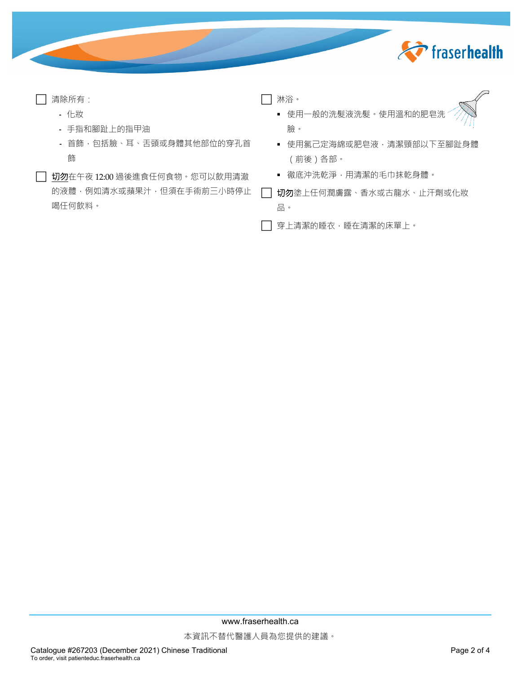

| 清除所有: |                              | 淋浴。                       |
|-------|------------------------------|---------------------------|
| - 化妝  |                              | ■ 使用一般的洗髮液洗髮。使用溫和的肥皂洗     |
|       | - 手指和腳趾上的指甲油                 | 臉。                        |
|       | - 首飾,包括臉、耳、舌頭或身體其他部位的穿孔首     | ▪ 使用氯己定海綿或肥皂液,清潔頸部以下至腳趾身體 |
| 飾     |                              | ( 前後 ) 各部。                |
|       | 切勿在午夜 12:00 過後進食任何食物。您可以飲用清澈 | ▪ 徹底沖洗乾淨,用清潔的毛巾抹乾身體。      |
|       | 的液體,例如清水或蘋果汁,但須在手術前三小時停止     | 切勿塗上任何潤膚露、香水或古龍水、止汗劑或化妝   |
|       | 喝任何飲料。                       | 品。                        |

□ 穿上清潔的睡衣,睡在清潔的床單上。

www.fraserhealth.ca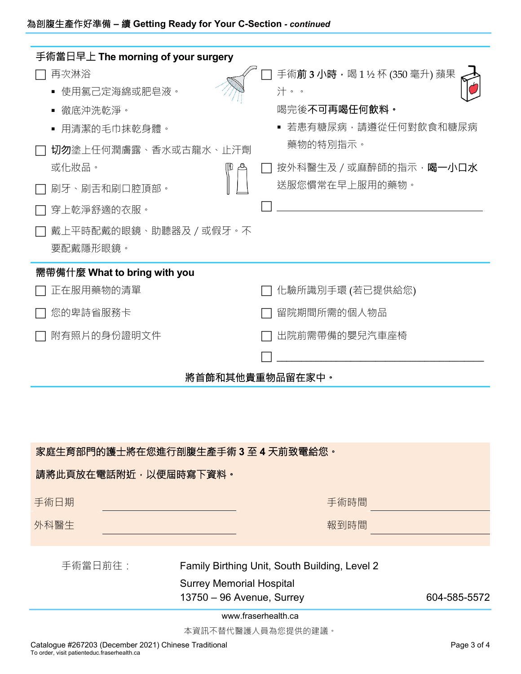| 手術當日早上 The morning of your surgery<br>再次淋浴<br>使用氯己定海綿或肥皂液。<br>徹底沖洗乾淨。<br>用清潔的毛巾抹乾身體。<br>$\blacksquare$<br>切勿塗上任何潤膚露、香水或古龍水、止汗劑<br>或化妝品。<br>刷牙、刷舌和刷口腔頂部。<br>穿上乾淨舒適的衣服。<br>戴上平時配戴的眼鏡、助聽器及 / 或假牙。不<br>要配戴隱形眼鏡。 | 手術 <b>前3小時</b> ,喝1½杯(350毫升)蘋果<br>汁。。<br>喝完後不可再喝任何飲料。<br>若患有糖尿病,請遵從任何對飲食和糖尿病<br>藥物的特別指示。<br>按外科醫生及 / 或麻醉師的指示, 喝一小口水<br>送服您慣常在早上服用的藥物。 |  |  |
|-------------------------------------------------------------------------------------------------------------------------------------------------------------------------------------------------------------|--------------------------------------------------------------------------------------------------------------------------------------|--|--|
| 需帶備什麼 What to bring with you<br>正在服用藥物的清單<br>您的卑詩省服務卡<br>附有照片的身份證明文件                                                                                                                                        | 化驗所識別手環 (若已提供給您)<br>留院期間所需的個人物品<br>出院前需帶備的嬰兒汽車座椅<br>將首飾和其他貴重物品留在家中。                                                                  |  |  |
| 家庭生育部門的護士將在您進行剖腹生產手術 3 至 4 天前致電給您。<br>請將此頁放在電話附近‧以便屆時寫下資料。<br>手術日期<br>手術時間<br>外科醫生<br>報到時間                                                                                                                  |                                                                                                                                      |  |  |
| 手術當日前往:<br>Family Birthing Unit, South Building, Level 2<br><b>Surrey Memorial Hospital</b>                                                                                                                 |                                                                                                                                      |  |  |

13750 – 96 Avenue, Surrey 13750 – 96 Avenue, Surrey 13750 – 604-585-5572

www.fraserhealth.ca